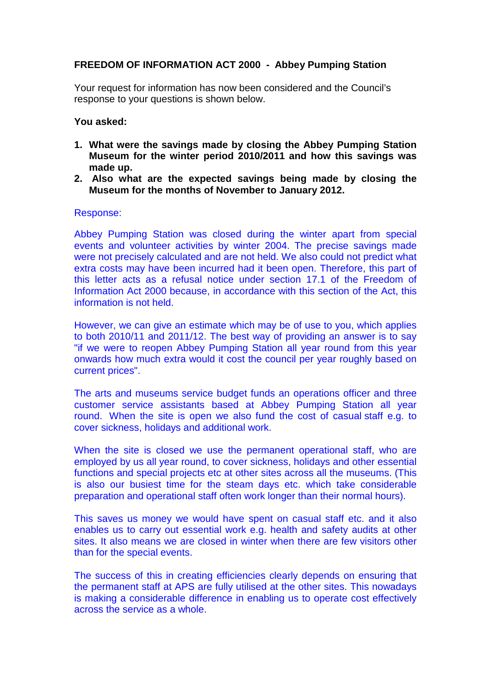## **FREEDOM OF INFORMATION ACT 2000 - Abbey Pumping Station**

Your request for information has now been considered and the Council's response to your questions is shown below.

## **You asked:**

- **1. What were the savings made by closing the Abbey Pumping Station Museum for the winter period 2010/2011 and how this savings was made up.**
- **2. Also what are the expected savings being made by closing the Museum for the months of November to January 2012.**

## Response:

Abbey Pumping Station was closed during the winter apart from special events and volunteer activities by winter 2004. The precise savings made were not precisely calculated and are not held. We also could not predict what extra costs may have been incurred had it been open. Therefore, this part of this letter acts as a refusal notice under section 17.1 of the Freedom of Information Act 2000 because, in accordance with this section of the Act, this information is not held.

However, we can give an estimate which may be of use to you, which applies to both 2010/11 and 2011/12. The best way of providing an answer is to say "if we were to reopen Abbey Pumping Station all year round from this year onwards how much extra would it cost the council per year roughly based on current prices".

The arts and museums service budget funds an operations officer and three customer service assistants based at Abbey Pumping Station all year round. When the site is open we also fund the cost of casual staff e.g. to cover sickness, holidays and additional work.

When the site is closed we use the permanent operational staff, who are employed by us all year round, to cover sickness, holidays and other essential functions and special projects etc at other sites across all the museums. (This is also our busiest time for the steam days etc. which take considerable preparation and operational staff often work longer than their normal hours).

This saves us money we would have spent on casual staff etc. and it also enables us to carry out essential work e.g. health and safety audits at other sites. It also means we are closed in winter when there are few visitors other than for the special events.

The success of this in creating efficiencies clearly depends on ensuring that the permanent staff at APS are fully utilised at the other sites. This nowadays is making a considerable difference in enabling us to operate cost effectively across the service as a whole.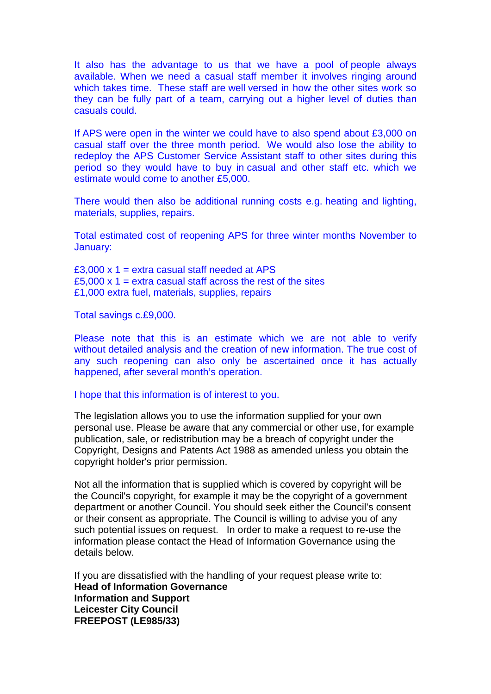It also has the advantage to us that we have a pool of people always available. When we need a casual staff member it involves ringing around which takes time. These staff are well versed in how the other sites work so they can be fully part of a team, carrying out a higher level of duties than casuals could.

If APS were open in the winter we could have to also spend about £3,000 on casual staff over the three month period. We would also lose the ability to redeploy the APS Customer Service Assistant staff to other sites during this period so they would have to buy in casual and other staff etc. which we estimate would come to another £5,000.

There would then also be additional running costs e.g. heating and lighting, materials, supplies, repairs.

Total estimated cost of reopening APS for three winter months November to January:

£3,000  $\times$  1 = extra casual staff needed at APS £5,000  $\times$  1 = extra casual staff across the rest of the sites £1,000 extra fuel, materials, supplies, repairs

Total savings c.£9,000.

Please note that this is an estimate which we are not able to verify without detailed analysis and the creation of new information. The true cost of any such reopening can also only be ascertained once it has actually happened, after several month's operation.

I hope that this information is of interest to you.

The legislation allows you to use the information supplied for your own personal use. Please be aware that any commercial or other use, for example publication, sale, or redistribution may be a breach of copyright under the Copyright, Designs and Patents Act 1988 as amended unless you obtain the copyright holder's prior permission.

Not all the information that is supplied which is covered by copyright will be the Council's copyright, for example it may be the copyright of a government department or another Council. You should seek either the Council's consent or their consent as appropriate. The Council is willing to advise you of any such potential issues on request. In order to make a request to re-use the information please contact the Head of Information Governance using the details below.

If you are dissatisfied with the handling of your request please write to: **Head of Information Governance Information and Support Leicester City Council FREEPOST (LE985/33)**